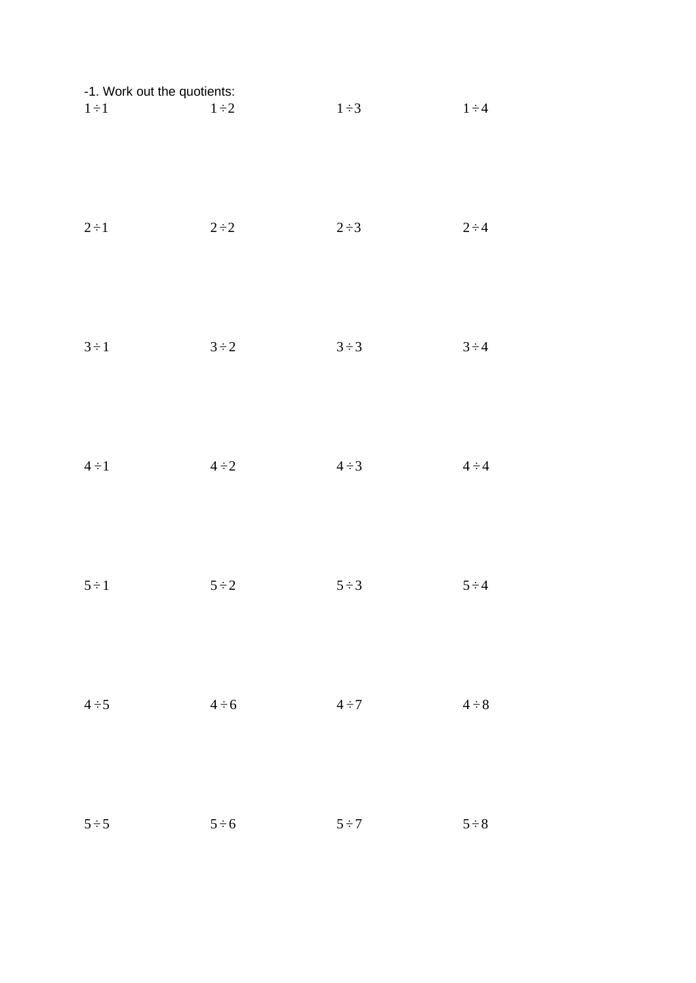| -1. Work out the quotients: |            |            |            |
|-----------------------------|------------|------------|------------|
| $1 \div 1$                  | $1\div 2$  | $1\div 3$  | $1 \div 4$ |
| $2 \div 1$                  | $2 \div 2$ | $2\div 3$  | $2 \div 4$ |
| $3 \div 1$                  | $3\div 2$  | $3 \div 3$ | $3 \div 4$ |
| $4 \div 1$                  | $4 \div 2$ | $4 \div 3$ | $4 \div 4$ |
| $5 \div 1$                  | $5 \div 2$ | $5 \div 3$ | $5 \div 4$ |
| $4 \div 5$                  | $4 \div 6$ | $4 \div 7$ | $4 \div 8$ |
| $5 \div 5$                  | $5 \div 6$ | $5 \div 7$ | $5 \div 8$ |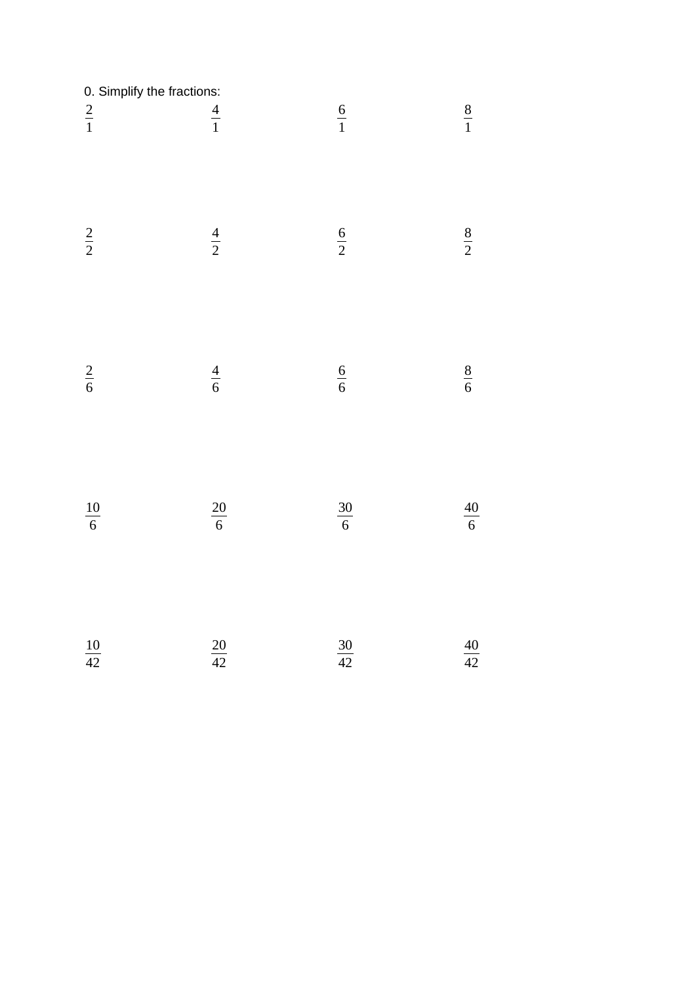| 0. Simplify the fractions: |                 |                 |                 |
|----------------------------|-----------------|-----------------|-----------------|
| $rac{2}{1}$                | $\frac{4}{1}$   | $\frac{6}{1}$   | $\frac{8}{1}$   |
| $rac{2}{2}$                | $\frac{4}{2}$   | $\frac{6}{2}$   | $\frac{8}{2}$   |
| $\frac{2}{6}$              | $\frac{4}{6}$   | $\frac{6}{6}$   | $\frac{8}{6}$   |
| $\frac{10}{6}$             | $\frac{20}{6}$  | $\frac{30}{6}$  | $\frac{40}{6}$  |
| $\frac{10}{42}$            | $\frac{20}{42}$ | $\frac{30}{42}$ | $\frac{40}{42}$ |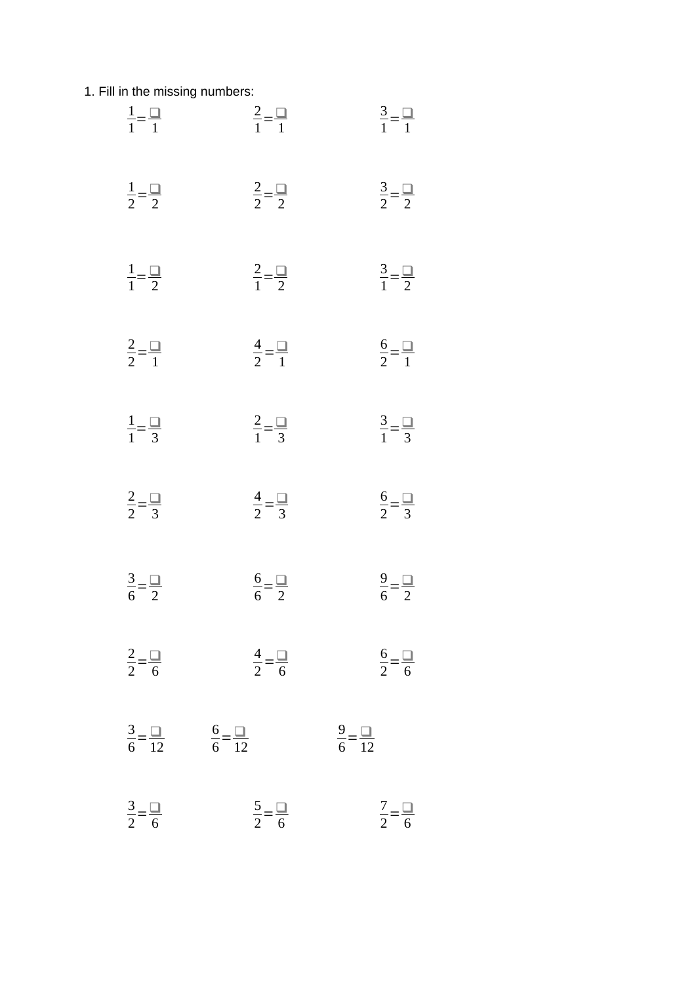1. Fill in the missing numbers:

| $\frac{1}{1} = \frac{\square}{1}$ | $\frac{2}{1} = \frac{\Box}{1}$    | $\frac{3}{1} = \frac{1}{1}$       |
|-----------------------------------|-----------------------------------|-----------------------------------|
| $\frac{1}{2} = \frac{\square}{2}$ | $\frac{2}{2} = \frac{\Box}{2}$    | $\frac{3}{2} = \frac{1}{2}$       |
| $\frac{1}{1} = \frac{\square}{2}$ | $rac{2}{1} = \frac{\square}{2}$   | $\frac{3}{1} = \frac{1}{2}$       |
| $\frac{2}{2} = \frac{\Box}{1}$    | $\frac{4}{2} = \frac{1}{1}$       | $\frac{6}{2} = \frac{1}{1}$       |
| $\frac{1}{1} = \frac{\square}{3}$ | $rac{2}{1} = \frac{\square}{3}$   | $\frac{3}{1} = \frac{\square}{3}$ |
| $\frac{2}{2} = \frac{\square}{3}$ | $rac{4}{2} = \frac{\square}{3}$   | $\frac{6}{2} = \frac{\square}{3}$ |
| $\frac{3}{6} = \frac{1}{2}$       | $\frac{6}{6} = \frac{\square}{2}$ | $\frac{9}{6} = \frac{1}{2}$       |
| $\frac{2}{2} = \frac{1}{6}$       | $\frac{4}{2} = \frac{1}{6}$       | $\frac{6}{2} = \frac{1}{6}$       |
| $\frac{3}{6} = \frac{1}{12}$      | $\frac{6}{6} = \frac{\Box}{12}$   | $\frac{9}{6} = \frac{1}{12}$      |
| $\frac{3}{2} = \frac{1}{6}$       | $\frac{5}{2} = \frac{1}{6}$       | $\frac{7}{2} = \frac{1}{6}$       |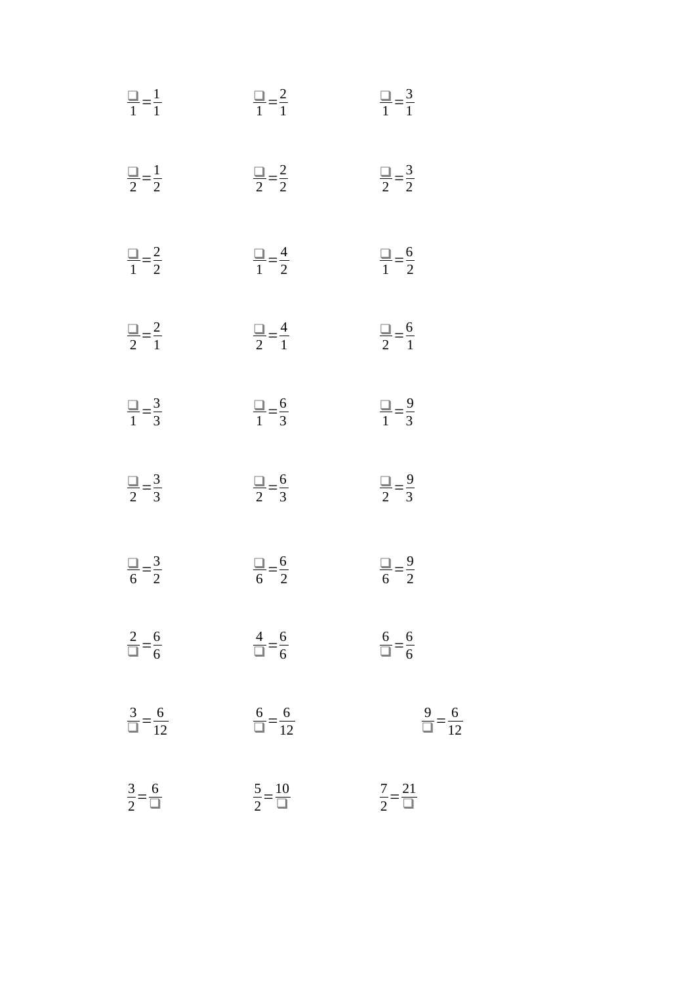| $\frac{1}{1} = \frac{1}{1}$       | $\frac{1}{1} = \frac{2}{1}$     | $\frac{\square}{1} = \frac{3}{1}$ |
|-----------------------------------|---------------------------------|-----------------------------------|
| $\frac{1}{2} = \frac{1}{2}$       | $\frac{2}{2} = \frac{2}{2}$     | $\frac{2}{2} = \frac{3}{2}$       |
| $\frac{1}{1} = \frac{2}{2}$       | $\frac{\Box}{1} = \frac{4}{2}$  | $\frac{1}{1} = \frac{6}{2}$       |
| $\frac{2}{2} = \frac{2}{1}$       | $\frac{1}{2} = \frac{4}{1}$     | $\frac{1}{2} = \frac{6}{1}$       |
| $\frac{\square}{1} = \frac{3}{3}$ | $\frac{1}{1} = \frac{6}{3}$     | $\frac{1}{1} = \frac{9}{3}$       |
| $\frac{1}{2} = \frac{3}{3}$       | $\frac{1}{2} = \frac{6}{3}$     | $\frac{1}{2} = \frac{9}{3}$       |
| $\frac{1}{6} = \frac{3}{2}$       | $\frac{1}{6} = \frac{6}{2}$     | $\frac{1}{6} = \frac{9}{2}$       |
| $\frac{2}{\Box} = \frac{6}{6}$    | $\frac{4}{\Box} = \frac{6}{6}$  | $\frac{6}{\Box} = \frac{6}{6}$    |
| $\frac{3}{\Box} = \frac{6}{12}$   | $\frac{6}{\Box} = \frac{6}{12}$ | $\frac{9}{\Box} = \frac{6}{12}$   |
| $\frac{3}{2} = \frac{6}{2}$       | $\frac{5}{2} = \frac{10}{1}$    | $\frac{7}{2} = \frac{21}{1}$      |

 $\overline{12}$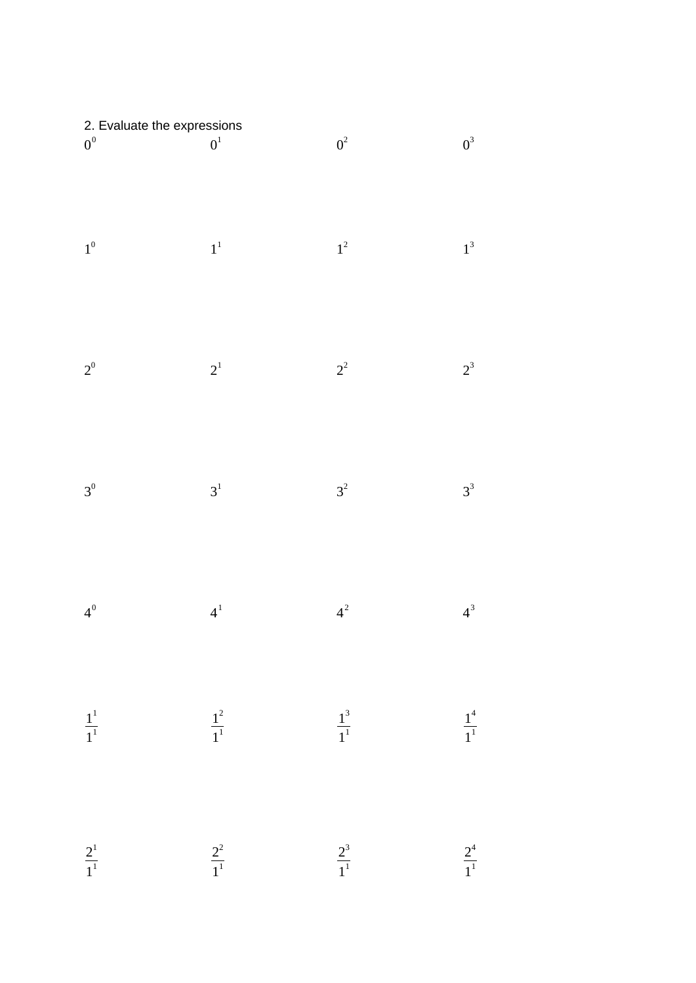| 2. Evaluate the expressions<br>$0^0$                 | $\boldsymbol{0}^1$         | $0^2\,$            | $0^3\,$            |
|------------------------------------------------------|----------------------------|--------------------|--------------------|
| $1^0$                                                | $\boldsymbol{1}^1$         | $\boldsymbol{1}^2$ | $\boldsymbol{1}^3$ |
| $2^0$                                                | $2^{\scriptscriptstyle 1}$ | $2^2$              | $2^3$              |
| $3^0$                                                | $\mathbf{3}^1$             | $3^2$              | $3^3$              |
| $4^0$                                                | $\boldsymbol{4}^1$         | $4^2$              | $4^3$              |
| $\frac{\textstyle 1}{{\textstyle 1}}^{\textstyle 1}$ | $\frac{1^2}{1^1}$          | $\frac{1}{1}^3$    | $\frac{1^4}{1^1}$  |
| $\frac{2^1}{1^1}$                                    | $\frac{2^2}{1^1}$          | $\frac{2^3}{1^1}$  | $\frac{2^4}{1^1}$  |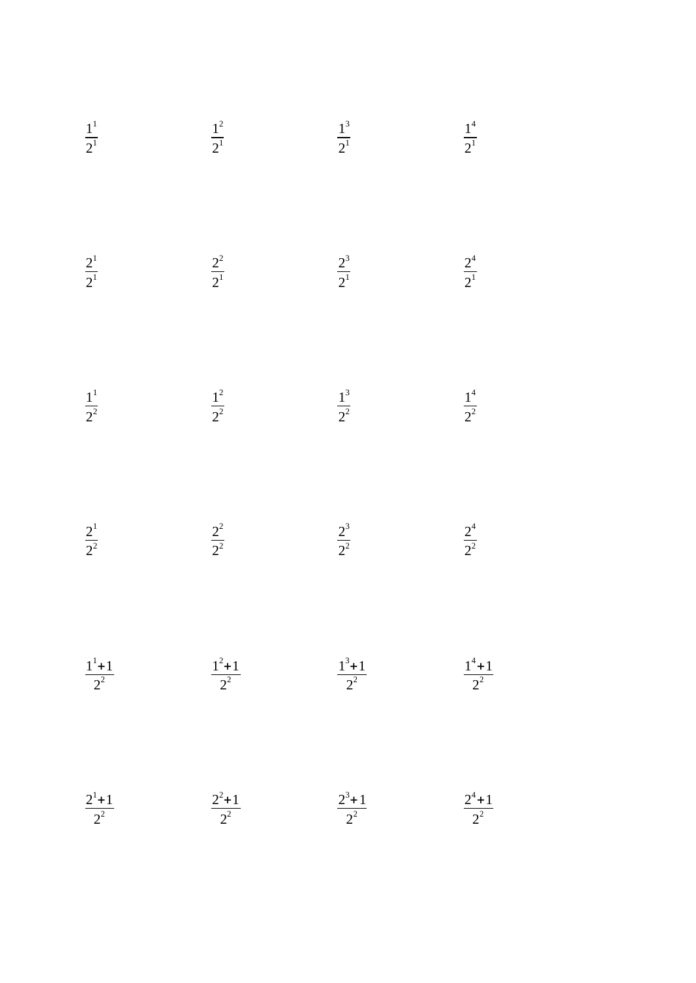$$
\frac{1^{1}}{2^{1}}
$$
\n
$$
\frac{1^{2}}{2^{1}}
$$
\n
$$
\frac{2^{1}}{2^{1}}
$$
\n
$$
\frac{2^{2}}{2^{1}}
$$
\n
$$
\frac{2^{2}}{2^{1}}
$$
\n
$$
\frac{2^{3}}{2^{1}}
$$
\n
$$
\frac{2^{4}}{2^{1}}
$$
\n
$$
\frac{1^{1}}{2^{2}}
$$
\n
$$
\frac{1^{2}}{2^{2}}
$$
\n
$$
\frac{1^{3}}{2^{2}}
$$
\n
$$
\frac{1^{4}}{2^{2}}
$$
\n
$$
\frac{2^{4}}{2^{2}}
$$
\n
$$
\frac{2^{1}}{2^{2}}
$$
\n
$$
\frac{2^{2}}{2^{2}}
$$
\n
$$
\frac{2^{3}}{2^{2}}
$$
\n
$$
\frac{2^{4}}{2^{2}}
$$
\n
$$
\frac{1^{1}+1}{2^{2}}
$$
\n
$$
\frac{1^{2}+1}{2^{2}}
$$
\n
$$
\frac{1^{3}+1}{2^{2}}
$$
\n
$$
\frac{1^{4}+1}{2^{2}}
$$
\n
$$
\frac{1^{4}+1}{2^{2}}
$$
\n
$$
\frac{1^{4}+1}{2^{2}}
$$
\n
$$
\frac{1^{4}+1}{2^{2}}
$$
\n
$$
\frac{1^{4}+1}{2^{2}}
$$
\n
$$
\frac{1^{4}+1}{2^{2}}
$$
\n
$$
\frac{1^{4}+1}{2^{2}}
$$
\n
$$
\frac{1^{4}+1}{2^{2}}
$$
\n
$$
\frac{1^{4}+1}{2^{2}}
$$
\n
$$
\frac{1^{4}+1}{2^{2}}
$$
\n
$$
\frac{1^{4}+1}{2^{2}}
$$